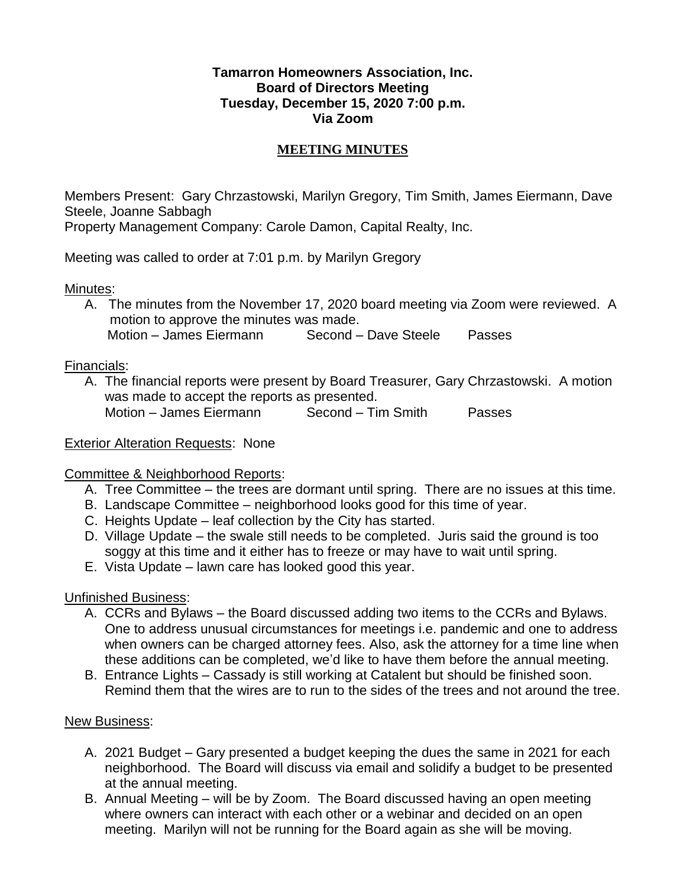## **Tamarron Homeowners Association, Inc. Board of Directors Meeting Tuesday, December 15, 2020 7:00 p.m. Via Zoom**

## **MEETING MINUTES**

Members Present: Gary Chrzastowski, Marilyn Gregory, Tim Smith, James Eiermann, Dave Steele, Joanne Sabbagh

Property Management Company: Carole Damon, Capital Realty, Inc.

Meeting was called to order at 7:01 p.m. by Marilyn Gregory

Minutes:

A. The minutes from the November 17, 2020 board meeting via Zoom were reviewed. A motion to approve the minutes was made. Motion – James Eiermann Second – Dave Steele Passes

Financials:

A. The financial reports were present by Board Treasurer, Gary Chrzastowski. A motion was made to accept the reports as presented. Motion – James Eiermann Second – Tim Smith Passes

Exterior Alteration Requests: None

Committee & Neighborhood Reports:

- A. Tree Committee the trees are dormant until spring. There are no issues at this time.
- B. Landscape Committee neighborhood looks good for this time of year.
- C. Heights Update leaf collection by the City has started.
- D. Village Update the swale still needs to be completed. Juris said the ground is too soggy at this time and it either has to freeze or may have to wait until spring.
- E. Vista Update lawn care has looked good this year.

Unfinished Business:

- A. CCRs and Bylaws the Board discussed adding two items to the CCRs and Bylaws. One to address unusual circumstances for meetings i.e. pandemic and one to address when owners can be charged attorney fees. Also, ask the attorney for a time line when these additions can be completed, we'd like to have them before the annual meeting.
- B. Entrance Lights Cassady is still working at Catalent but should be finished soon. Remind them that the wires are to run to the sides of the trees and not around the tree.

New Business:

- A. 2021 Budget Gary presented a budget keeping the dues the same in 2021 for each neighborhood. The Board will discuss via email and solidify a budget to be presented at the annual meeting.
- B. Annual Meeting will be by Zoom. The Board discussed having an open meeting where owners can interact with each other or a webinar and decided on an open meeting. Marilyn will not be running for the Board again as she will be moving.